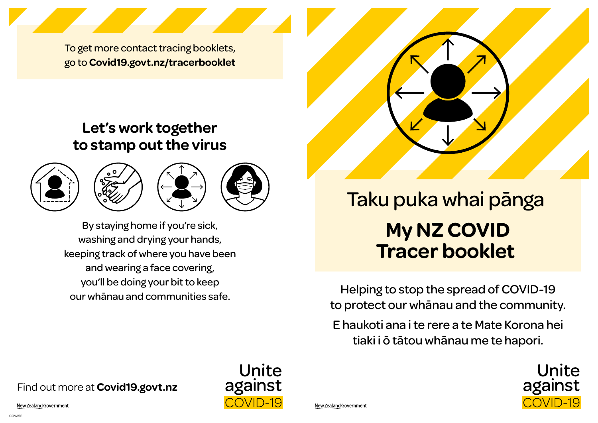To get more contact tracing booklets, go to **Covid19.govt.nz/tracerbooklet**

# **Let's work together to stamp out the virus**







Unite

against

COVID-19

By staying home if you're sick, washing and drying your hands, keeping track of where you have been and wearing a face covering, you'll be doing your bit to keep our whānau and communities safe.

# **My NZ COVID Tracer booklet** Taku puka whai pānga

Helping to stop the spread of COVID-19 to protect our whānau and the community.

E haukoti ana i te rere a te Mate Korona hei tiaki i ō tātou whānau me te hapori.



### Find out more at **Covid19.govt.nz**

New Zealand Government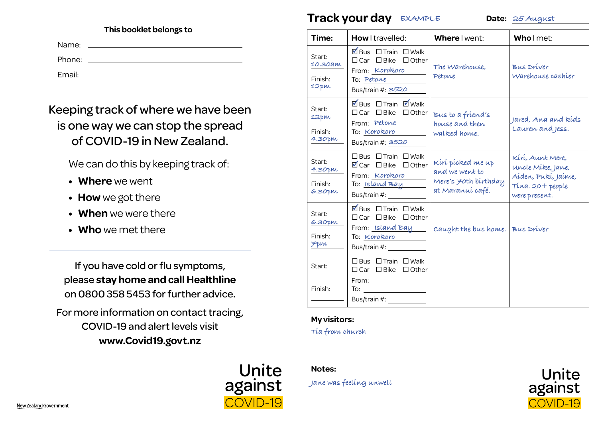#### **This booklet belongs to**

| Name:  |  |
|--------|--|
| Phone: |  |
| Email: |  |

## Keeping track of where we have been is one way we can stop the spread of COVID-19 in New Zealand.

We can do this by keeping track of:

- **Where** we went
- **How** we got there
- **When** we were there
- **Who** we met there

If you have cold or flu symptoms, please **stay home and call Healthline** on 0800 358 5453 for further advice.

For more information on contact tracing, COVID-19 and alert levels visit **www.Covid19.govt.nz** 



### **Track your day EXAMPLE Date: 25 August**

| Time:                                                | How I travelled:                                                                                                                               | Where I went:                                                                   | Who I met:                                                                                        |
|------------------------------------------------------|------------------------------------------------------------------------------------------------------------------------------------------------|---------------------------------------------------------------------------------|---------------------------------------------------------------------------------------------------|
| Start:<br>10.30am<br>Finish:<br>12pm                 | ØBus □ Train □ Walk<br>$\Box$ Car $\Box$ Bike $\Box$ Other<br>From: Korokoro<br>To: Petone<br>Bus/train #: 3520                                | The Warehouse.<br>Petone                                                        | <b>Bus Driver</b><br>Warehouse cashier                                                            |
| Start:<br>12 pm<br>Finish:<br>4.30pm                 | ØBus □ Train Ø Walk<br>□ Car □ Bike<br>$\Box$ Other<br>From: Petone<br>To: Korokoro<br>Bus/train #: 3520                                       | Bus to a friend's<br>house and then<br>walked home.                             | Jared, Ana and kids<br>Lauren and Jess.                                                           |
| Start:<br>4.30 <sub>pm</sub><br>Finish:<br>$6.30$ pm | $\Box$ Bus $\Box$ Train $\Box$ Walk<br>■Car □ Bike □ Other<br>From: Korokoro<br>To: <u>Island Bay</u><br>Bus/train #: _______                  | Kírí pícked me up<br>and we went to<br>Mere's 70th birthday<br>at Maranuí café. | Kírí, Aunt Mere,<br>uncle Míke, Jane,<br>Aíden, Pukí, Jaíme,<br>Tina. 20+ people<br>were present. |
| Start:<br>6.30pm<br>Finish:<br><b>Fpm</b>            | ØBus □ Train □ Walk<br>$\Box$ Car $\Box$ Bike $\Box$ Other<br>From: Island Bay<br>To: Korokoro                                                 | Caught the bus home. Bus Driver                                                 |                                                                                                   |
| Start:<br>Finish:                                    | $\Box$ Bus $\Box$ Train $\Box$ Walk<br>$\Box$ Car $\Box$ Bike $\Box$ Other<br>From: $\frac{1}{\sqrt{1-\frac{1}{2}}\left(1-\frac{1}{2}\right)}$ |                                                                                 |                                                                                                   |

#### **My visitors:**

**Tia from church**

**Notes:** 

**Jane was feeling unwell**